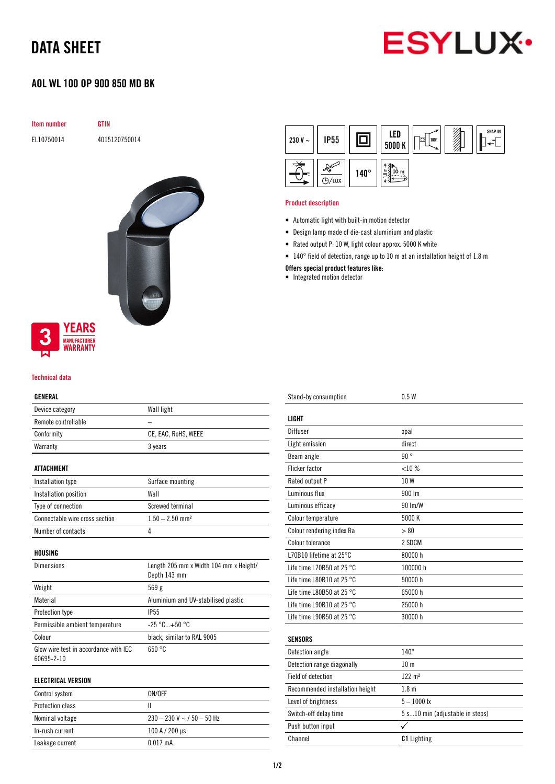# DATA SHEET



## AOL WL 100 OP 900 850 MD BK

| <b>Item number</b> | <b>GTIN</b>   |
|--------------------|---------------|
| EL10750014         | 4015120750014 |
|                    |               |
|                    |               |
|                    |               |
|                    |               |
|                    |               |
|                    |               |
|                    |               |
|                    |               |
|                    |               |
|                    |               |
|                    |               |
| <b>YEARS</b><br>A  |               |

#### Technical data

**MANUFACTURER WARRANTY** 

### GENERAL

| Device category                 | Wall light                                             |  |  |
|---------------------------------|--------------------------------------------------------|--|--|
| Remote controllable             |                                                        |  |  |
| Conformity                      | CE, EAC, RoHS, WEEE                                    |  |  |
| Warranty                        | 3 years                                                |  |  |
|                                 |                                                        |  |  |
| ATTACHMENT                      |                                                        |  |  |
| Installation type               | Surface mounting                                       |  |  |
| Installation position           | Wall                                                   |  |  |
| Type of connection              | Screwed terminal                                       |  |  |
| Connectable wire cross section  | $1.50 - 2.50$ mm <sup>2</sup>                          |  |  |
| Number of contacts              | 4                                                      |  |  |
| HOUSING                         |                                                        |  |  |
|                                 |                                                        |  |  |
| Dimensions                      | Length 205 mm x Width 104 mm x Height/<br>Depth 143 mm |  |  |
| Weight                          | 569 g                                                  |  |  |
| Material                        | Aluminium and UV-stabilised plastic                    |  |  |
| Protection type                 | IP <sub>55</sub>                                       |  |  |
| Permissible ambient temperature | $-25 °C+50 °C$                                         |  |  |
| Colour                          | black, similar to RAL 9005                             |  |  |

## ELECTRICAL VERSION

| Control system          | ON/OFF                           |
|-------------------------|----------------------------------|
| <b>Protection class</b> |                                  |
| Nominal voltage         | $230 - 230$ V ~ $/$ 50 $-$ 50 Hz |
| In-rush current         | 100 A / 200 µs                   |
| Leakage current         | $0.017 \text{ mA}$               |

| 230 V $\sim$ | <b>IP55</b> |             | LED<br>5000 K      | 100°<br>σ | SNAP-IN |
|--------------|-------------|-------------|--------------------|-----------|---------|
| F            | /lux        | $140^\circ$ | ᇀ<br>$\infty$<br>ъ |           |         |

#### Product description

- Automatic light with built-in motion detector
- Design lamp made of die-cast aluminium and plastic
- Rated output P: 10 W, light colour approx. 5000 K white
- 140° field of detection, range up to 10 m at an installation height of 1.8 m

#### Offers special product features like:

• Integrated motion detector

| Stand-by consumption                | 0.5W                            |
|-------------------------------------|---------------------------------|
| <b>LIGHT</b>                        |                                 |
| Diffuser                            | opal                            |
| Light emission                      | direct                          |
| Beam angle                          | 90°                             |
| <b>Flicker factor</b>               | $< 10 \%$                       |
| Rated output P                      | 10W                             |
| Luminous flux                       | 900 lm                          |
| Luminous efficacy                   | 90 Im/W                         |
| Colour temperature                  | 5000 K                          |
| Colour rendering index Ra           | > 80                            |
| Colour tolerance                    | 2 SDCM                          |
| L70B10 lifetime at 25°C             | 80000 h                         |
| Life time L70B50 at 25 $^{\circ}$ C | 100000 h                        |
| Life time L80B10 at 25 $^{\circ}$ C | 50000 h                         |
| Life time L80B50 at 25 $^{\circ}$ C | 65000h                          |
| Life time L90B10 at 25 °C           | 25000 h                         |
| Life time L90B50 at 25 °C           | 30000 h                         |
|                                     |                                 |
| <b>SENSORS</b>                      |                                 |
| Detection angle                     | $140^\circ$                     |
| Detection range diagonally          | 10 <sub>m</sub>                 |
| Field of detection                  | $122 \; \text{m}^2$             |
| Recommended installation height     | 1.8 <sub>m</sub>                |
| Level of brightness                 | $5 - 1000$ lx                   |
| Switch-off delay time               | 5 s10 min (adjustable in steps) |
| Push button input                   | ✓                               |
| Channel                             | <b>C1</b> Lighting              |